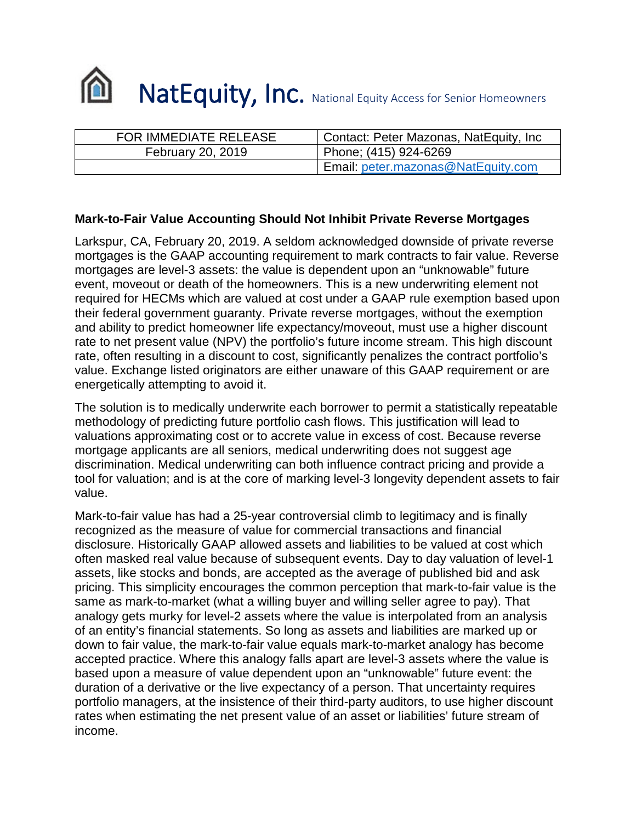

| FOR IMMEDIATE RELEASE | Contact: Peter Mazonas, NatEquity, Inc |
|-----------------------|----------------------------------------|
| February 20, 2019     | Phone; (415) 924-6269                  |
|                       | Email: peter.mazonas@NatEquity.com     |

## **Mark-to-Fair Value Accounting Should Not Inhibit Private Reverse Mortgages**

Larkspur, CA, February 20, 2019. A seldom acknowledged downside of private reverse mortgages is the GAAP accounting requirement to mark contracts to fair value. Reverse mortgages are level-3 assets: the value is dependent upon an "unknowable" future event, moveout or death of the homeowners. This is a new underwriting element not required for HECMs which are valued at cost under a GAAP rule exemption based upon their federal government guaranty. Private reverse mortgages, without the exemption and ability to predict homeowner life expectancy/moveout, must use a higher discount rate to net present value (NPV) the portfolio's future income stream. This high discount rate, often resulting in a discount to cost, significantly penalizes the contract portfolio's value. Exchange listed originators are either unaware of this GAAP requirement or are energetically attempting to avoid it.

The solution is to medically underwrite each borrower to permit a statistically repeatable methodology of predicting future portfolio cash flows. This justification will lead to valuations approximating cost or to accrete value in excess of cost. Because reverse mortgage applicants are all seniors, medical underwriting does not suggest age discrimination. Medical underwriting can both influence contract pricing and provide a tool for valuation; and is at the core of marking level-3 longevity dependent assets to fair value.

Mark-to-fair value has had a 25-year controversial climb to legitimacy and is finally recognized as the measure of value for commercial transactions and financial disclosure. Historically GAAP allowed assets and liabilities to be valued at cost which often masked real value because of subsequent events. Day to day valuation of level-1 assets, like stocks and bonds, are accepted as the average of published bid and ask pricing. This simplicity encourages the common perception that mark-to-fair value is the same as mark-to-market (what a willing buyer and willing seller agree to pay). That analogy gets murky for level-2 assets where the value is interpolated from an analysis of an entity's financial statements. So long as assets and liabilities are marked up or down to fair value, the mark-to-fair value equals mark-to-market analogy has become accepted practice. Where this analogy falls apart are level-3 assets where the value is based upon a measure of value dependent upon an "unknowable" future event: the duration of a derivative or the live expectancy of a person. That uncertainty requires portfolio managers, at the insistence of their third-party auditors, to use higher discount rates when estimating the net present value of an asset or liabilities' future stream of income.